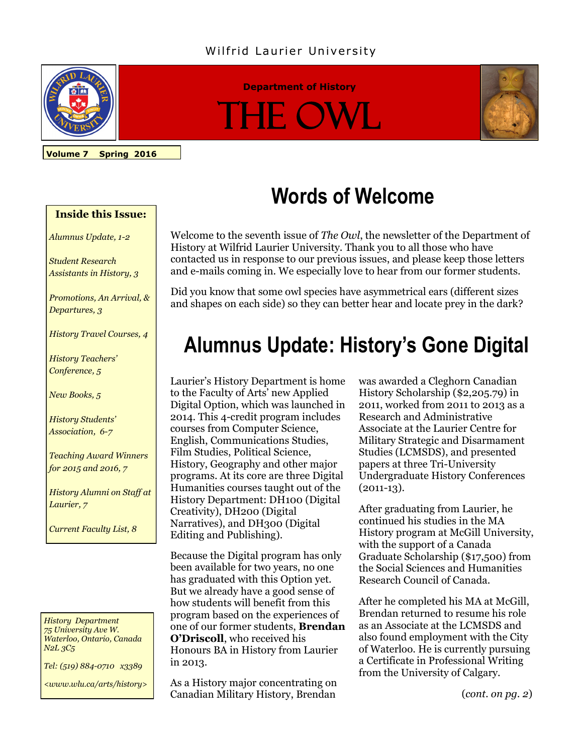#### Wilfrid Laurier University



#### **Department of History**

# IE. OV



**Volume 7 Spring 2016**

**Inside this Issue:**

*Alumnus Update, 1-2*

*Student Research Assistants in History, 3*

*Promotions, An Arrival, & Departures, 3*

*History Travel Courses, 4*

*History Teachers' Conference, 5*

*New Books, 5*

*History Students' Association, 6-7*

*Teaching Award Winners for 2015 and 2016, 7*

*History Alumni on Staff at Laurier, 7*

*Current Faculty List, 8*

#### *History Department 75 University Ave W. Waterloo, Ontario, Canada N2L 3C5*

*Tel: (519) 884-0710 x3389* 

*<www.wlu.ca/arts/history>*

## **Words of Welcome**

Welcome to the seventh issue of *The Owl*, the newsletter of the Department of History at Wilfrid Laurier University. Thank you to all those who have contacted us in response to our previous issues, and please keep those letters and e-mails coming in. We especially love to hear from our former students.

Did you know that some owl species have asymmetrical ears (different sizes and shapes on each side) so they can better hear and locate prey in the dark?

### **Alumnus Update: History's Gone Digital**

Laurier's History Department is home to the Faculty of Arts' new Applied Digital Option, which was launched in 2014. This 4-credit program includes courses from Computer Science, English, Communications Studies, Film Studies, Political Science, History, Geography and other major programs. At its core are three Digital Humanities courses taught out of the History Department: DH100 (Digital Creativity), DH200 (Digital Narratives), and DH300 (Digital Editing and Publishing).

Because the Digital program has only been available for two years, no one has graduated with this Option yet. But we already have a good sense of how students will benefit from this program based on the experiences of one of our former students, **Brendan O'Driscoll**, who received his Honours BA in History from Laurier in 2013.

As a History major concentrating on Canadian Military History, Brendan

was awarded a Cleghorn Canadian History Scholarship (\$2,205.79) in 2011, worked from 2011 to 2013 as a Research and Administrative Associate at the Laurier Centre for Military Strategic and Disarmament Studies (LCMSDS), and presented papers at three Tri-University Undergraduate History Conferences  $(2011-13)$ .

After graduating from Laurier, he continued his studies in the MA History program at McGill University, with the support of a Canada Graduate Scholarship (\$17,500) from the Social Sciences and Humanities Research Council of Canada.

After he completed his MA at McGill, Brendan returned to resume his role as an Associate at the LCMSDS and also found employment with the City of Waterloo. He is currently pursuing a Certificate in Professional Writing from the University of Calgary.

(*cont. on pg. 2*)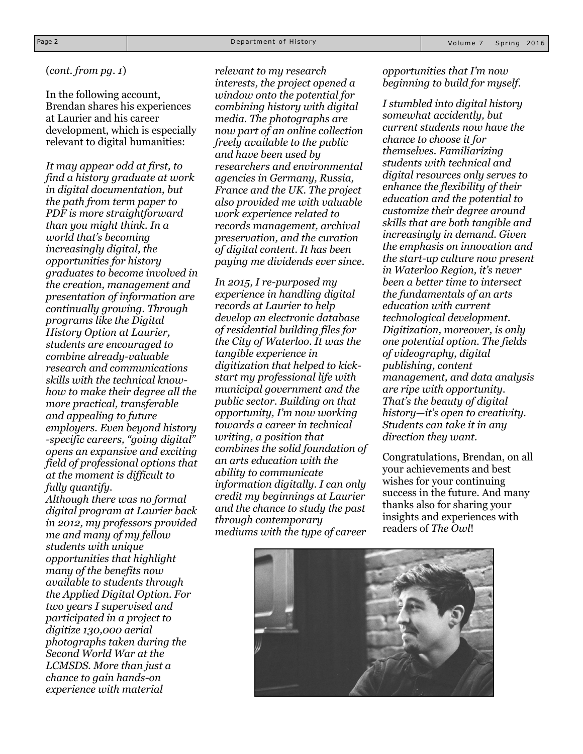#### (*cont. from pg. 1*)

In the following account, Brendan shares his experiences at Laurier and his career development, which is especially relevant to digital humanities:

*It may appear odd at first, to find a history graduate at work in digital documentation, but the path from term paper to PDF is more straightforward than you might think. In a world that's becoming increasingly digital, the opportunities for history graduates to become involved in the creation, management and presentation of information are continually growing. Through programs like the Digital History Option at Laurier, students are encouraged to combine already-valuable research and communications skills with the technical knowhow to make their degree all the more practical, transferable and appealing to future employers. Even beyond history -specific careers, "going digital" opens an expansive and exciting field of professional options that at the moment is difficult to fully quantify.*

*Although there was no formal digital program at Laurier back in 2012, my professors provided me and many of my fellow students with unique opportunities that highlight many of the benefits now available to students through the Applied Digital Option. For two years I supervised and participated in a project to digitize 130,000 aerial photographs taken during the Second World War at the LCMSDS. More than just a chance to gain hands-on experience with material* 

*relevant to my research interests, the project opened a window onto the potential for combining history with digital media. The photographs are now part of an online collection freely available to the public and have been used by researchers and environmental agencies in Germany, Russia, France and the UK. The project also provided me with valuable work experience related to records management, archival preservation, and the curation of digital content. It has been paying me dividends ever since.*

*In 2015, I re-purposed my experience in handling digital records at Laurier to help develop an electronic database of residential building files for the City of Waterloo. It was the tangible experience in digitization that helped to kickstart my professional life with municipal government and the public sector. Building on that opportunity, I'm now working towards a career in technical writing, a position that combines the solid foundation of an arts education with the ability to communicate information digitally. I can only credit my beginnings at Laurier and the chance to study the past through contemporary mediums with the type of career* 

#### *opportunities that I'm now beginning to build for myself.*

*I stumbled into digital history somewhat accidently, but current students now have the chance to choose it for themselves. Familiarizing students with technical and digital resources only serves to enhance the flexibility of their education and the potential to customize their degree around skills that are both tangible and increasingly in demand. Given the emphasis on innovation and the start-up culture now present in Waterloo Region, it's never been a better time to intersect the fundamentals of an arts education with current technological development. Digitization, moreover, is only one potential option. The fields of videography, digital publishing, content management, and data analysis are ripe with opportunity. That's the beauty of digital history—it's open to creativity. Students can take it in any direction they want.*

Congratulations, Brendan, on all your achievements and best wishes for your continuing success in the future. And many thanks also for sharing your insights and experiences with readers of *The Owl*!

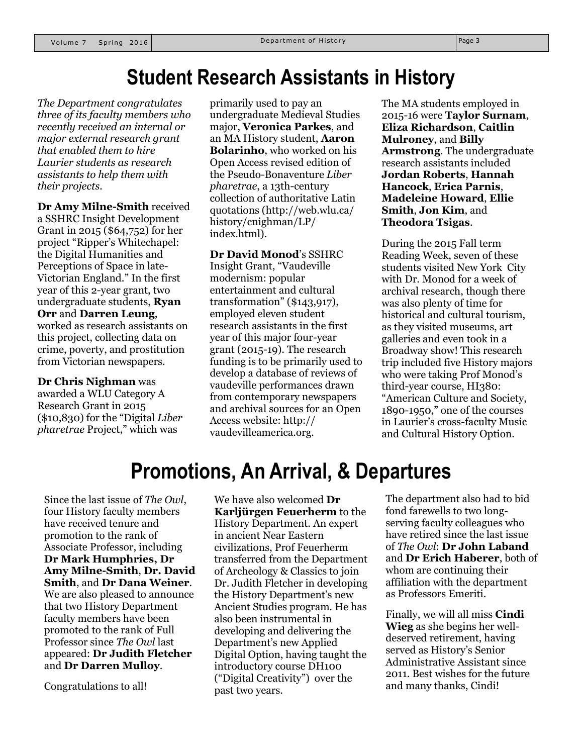### **Student Research Assistants in History**

*The Department congratulates three of its faculty members who recently received an internal or major external research grant that enabled them to hire Laurier students as research assistants to help them with their projects.*

**Dr Amy Milne-Smith** received a SSHRC Insight Development Grant in 2015 (\$64,752) for her project "Ripper's Whitechapel: the Digital Humanities and Perceptions of Space in late-Victorian England." In the first year of this 2-year grant, two undergraduate students, **Ryan Orr** and **Darren Leung**, worked as research assistants on this project, collecting data on crime, poverty, and prostitution from Victorian newspapers.

#### **Dr Chris Nighman** was

awarded a WLU Category A Research Grant in 2015 (\$10,830) for the "Digital *Liber pharetrae* Project," which was

primarily used to pay an undergraduate Medieval Studies major, **Veronica Parkes**, and an MA History student, **Aaron Bolarinho**, who worked on his Open Access revised edition of the Pseudo-Bonaventure *Liber pharetrae*, a 13th-century collection of authoritative Latin quotations (http://web.wlu.ca/ history/cnighman/LP/ index.html).

#### **Dr David Monod**'s SSHRC

Insight Grant, "Vaudeville modernism: popular entertainment and cultural transformation" (\$143,917), employed eleven student research assistants in the first year of this major four-year grant (2015-19). The research funding is to be primarily used to develop a database of reviews of vaudeville performances drawn from contemporary newspapers and archival sources for an Open Access website: http:// vaudevilleamerica.org.

The MA students employed in 2015-16 were **Taylor Surnam**, **Eliza Richardson**, **Caitlin Mulroney**, and **Billy Armstrong**. The undergraduate research assistants included **Jordan Roberts**, **Hannah Hancock**, **Erica Parnis**, **Madeleine Howard**, **Ellie Smith**, **Jon Kim**, and **Theodora Tsigas**.

During the 2015 Fall term Reading Week, seven of these students visited New York City with Dr. Monod for a week of archival research, though there was also plenty of time for historical and cultural tourism, as they visited museums, art galleries and even took in a Broadway show! This research trip included five History majors who were taking Prof Monod's third-year course, HI380: "American Culture and Society, 1890-1950," one of the courses in Laurier's cross-faculty Music and Cultural History Option.

### **Promotions, An Arrival, & Departures**

Since the last issue of *The Owl*, four History faculty members have received tenure and promotion to the rank of Associate Professor, including **Dr Mark Humphries, Dr Amy Milne-Smith**, **Dr. David Smith**, and **Dr Dana Weiner**. We are also pleased to announce that two History Department faculty members have been promoted to the rank of Full Professor since *The Owl* last appeared: **Dr Judith Fletcher**  and **Dr Darren Mulloy**.

Congratulations to all!

We have also welcomed **Dr Karljürgen Feuerherm** to the History Department. An expert in ancient Near Eastern civilizations, Prof Feuerherm transferred from the Department of Archeology & Classics to join Dr. Judith Fletcher in developing the History Department's new Ancient Studies program. He has also been instrumental in developing and delivering the Department's new Applied Digital Option, having taught the introductory course DH100 ("Digital Creativity") over the past two years.

The department also had to bid fond farewells to two longserving faculty colleagues who have retired since the last issue of *The Owl*: **Dr John Laband** and **Dr Erich Haberer**, both of whom are continuing their affiliation with the department as Professors Emeriti.

Finally, we will all miss **Cindi Wieg** as she begins her welldeserved retirement, having served as History's Senior Administrative Assistant since 2011. Best wishes for the future and many thanks, Cindi!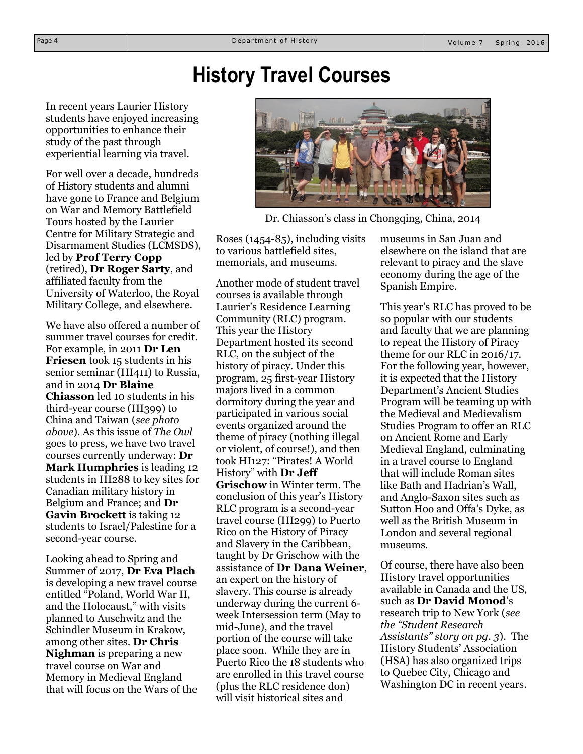### **History Travel Courses**

In recent years Laurier History students have enjoyed increasing opportunities to enhance their study of the past through experiential learning via travel.

For well over a decade, hundreds of History students and alumni have gone to France and Belgium on War and Memory Battlefield Tours hosted by the Laurier Centre for Military Strategic and Disarmament Studies (LCMSDS), led by **Prof Terry Copp** (retired), **Dr Roger Sarty**, and affiliated faculty from the University of Waterloo, the Royal Military College, and elsewhere.

We have also offered a number of summer travel courses for credit. For example, in 2011 **Dr Len Friesen** took 15 students in his senior seminar (HI411) to Russia, and in 2014 **Dr Blaine Chiasson** led 10 students in his third-year course (HI399) to China and Taiwan (*see photo above*). As this issue of *The Owl*  goes to press, we have two travel courses currently underway: **Dr Mark Humphries** is leading 12 students in HI288 to key sites for Canadian military history in Belgium and France; and **Dr Gavin Brockett** is taking 12 students to Israel/Palestine for a second-year course.

Looking ahead to Spring and Summer of 2017, **Dr Eva Plach**  is developing a new travel course entitled "Poland, World War II, and the Holocaust," with visits planned to Auschwitz and the Schindler Museum in Krakow, among other sites. **Dr Chris Nighman** is preparing a new travel course on War and Memory in Medieval England that will focus on the Wars of the



Dr. Chiasson's class in Chongqing, China, 2014

Roses (1454-85), including visits to various battlefield sites, memorials, and museums.

Another mode of student travel courses is available through Laurier's Residence Learning Community (RLC) program. This year the History Department hosted its second RLC, on the subject of the history of piracy. Under this program, 25 first-year History majors lived in a common dormitory during the year and participated in various social events organized around the theme of piracy (nothing illegal or violent, of course!), and then took HI127: "Pirates! A World History" with **Dr Jeff Grischow** in Winter term. The conclusion of this year's History RLC program is a second-year travel course (HI299) to Puerto Rico on the History of Piracy and Slavery in the Caribbean, taught by Dr Grischow with the assistance of **Dr Dana Weiner**, an expert on the history of slavery. This course is already underway during the current 6 week Intersession term (May to mid-June), and the travel portion of the course will take place soon. While they are in Puerto Rico the 18 students who are enrolled in this travel course (plus the RLC residence don) will visit historical sites and

museums in San Juan and elsewhere on the island that are relevant to piracy and the slave economy during the age of the Spanish Empire.

This year's RLC has proved to be so popular with our students and faculty that we are planning to repeat the History of Piracy theme for our RLC in 2016/17. For the following year, however, it is expected that the History Department's Ancient Studies Program will be teaming up with the Medieval and Medievalism Studies Program to offer an RLC on Ancient Rome and Early Medieval England, culminating in a travel course to England that will include Roman sites like Bath and Hadrian's Wall, and Anglo-Saxon sites such as Sutton Hoo and Offa's Dyke, as well as the British Museum in London and several regional museums.

Of course, there have also been History travel opportunities available in Canada and the US, such as **Dr David Monod**'s research trip to New York (*see the "Student Research Assistants" story on pg. 3*). The History Students' Association (HSA) has also organized trips to Quebec City, Chicago and Washington DC in recent years.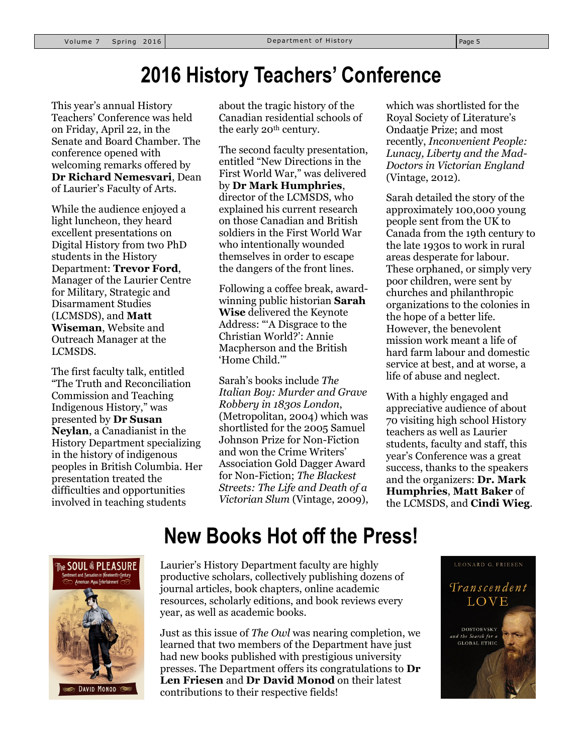### **2016 History Teachers' Conference**

This year's annual History Teachers' Conference was held on Friday, April 22, in the Senate and Board Chamber. The conference opened with welcoming remarks offered by **Dr Richard Nemesvari**, Dean of Laurier's Faculty of Arts.

While the audience enjoyed a light luncheon, they heard excellent presentations on Digital History from two PhD students in the History Department: **Trevor Ford**, Manager of the Laurier Centre for Military, Strategic and Disarmament Studies (LCMSDS), and **Matt Wiseman**, Website and Outreach Manager at the LCMSDS.

The first faculty talk, entitled "The Truth and Reconciliation Commission and Teaching Indigenous History," was presented by **Dr Susan Neylan**, a Canadianist in the History Department specializing in the history of indigenous peoples in British Columbia. Her presentation treated the difficulties and opportunities involved in teaching students

about the tragic history of the Canadian residential schools of the early 20<sup>th</sup> century.

The second faculty presentation, entitled "New Directions in the First World War," was delivered by **Dr Mark Humphries**, director of the LCMSDS, who explained his current research on those Canadian and British soldiers in the First World War who intentionally wounded themselves in order to escape the dangers of the front lines.

Following a coffee break, awardwinning public historian **Sarah Wise** delivered the Keynote Address: "'A Disgrace to the Christian World?': Annie Macpherson and the British 'Home Child.'"

Sarah's books include *The Italian Boy: Murder and Grave Robbery in 1830s London*, (Metropolitan, 2004) which was shortlisted for the 2005 Samuel Johnson Prize for Non-Fiction and won the Crime Writers' Association Gold Dagger Award for Non-Fiction; *The Blackest Streets: The Life and Death of a Victorian Slum* (Vintage, 2009), which was shortlisted for the Royal Society of Literature's Ondaatje Prize; and most recently, *Inconvenient People: Lunacy, Liberty and the Mad-Doctors in Victorian England* (Vintage, 2012).

Sarah detailed the story of the approximately 100,000 young people sent from the UK to Canada from the 19th century to the late 1930s to work in rural areas desperate for labour. These orphaned, or simply very poor children, were sent by churches and philanthropic organizations to the colonies in the hope of a better life. However, the benevolent mission work meant a life of hard farm labour and domestic service at best, and at worse, a life of abuse and neglect.

With a highly engaged and appreciative audience of about 70 visiting high school History teachers as well as Laurier students, faculty and staff, this year's Conference was a great success, thanks to the speakers and the organizers: **Dr. Mark Humphries**, **Matt Baker** of the LCMSDS, and **Cindi Wieg**.



### **New Books Hot off the Press!**

Laurier's History Department faculty are highly productive scholars, collectively publishing dozens of journal articles, book chapters, online academic resources, scholarly editions, and book reviews every year, as well as academic books.

Just as this issue of *The Owl* was nearing completion, we learned that two members of the Department have just had new books published with prestigious university presses. The Department offers its congratulations to **Dr Len Friesen** and **Dr David Monod** on their latest contributions to their respective fields!

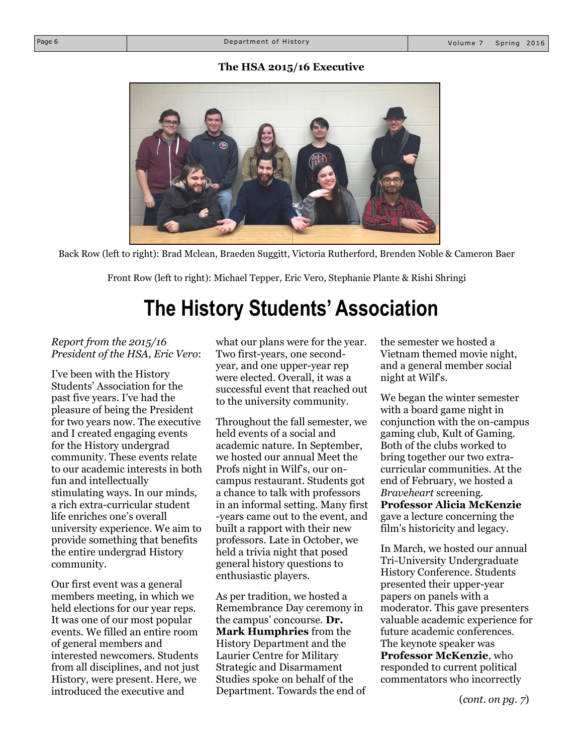#### **The HSA 2015/16 Executive**



Back Row (left to right): Brad Mclean, Braeden Suggitt, Victoria Rutherford, Brenden Noble & Cameron Baer

Front Row (left to right): Michael Tepper, Eric Vero, Stephanie Plante & Rishi Shringi

### **The History Students' Association**

#### *Report from the 2015/16 President of the HSA, Eric Vero*:

I've been with the History Students' Association for the past five years. I've had the pleasure of being the President for two years now. The executive and I created engaging events for the History undergrad community. These events relate to our academic interests in both fun and intellectually stimulating ways. In our minds, a rich extra-curricular student life enriches one's overall university experience. We aim to provide something that benefits the entire undergrad History community.

Our first event was a general members meeting, in which we held elections for our year reps. It was one of our most popular events. We filled an entire room of general members and interested newcomers. Students from all disciplines, and not just History, were present. Here, we introduced the executive and

what our plans were for the year. Two first-years, one secondyear, and one upper-year rep were elected. Overall, it was a successful event that reached out to the university community.

Throughout the fall semester, we held events of a social and academic nature. In September, we hosted our annual Meet the Profs night in Wilf's, our oncampus restaurant. Students got a chance to talk with professors in an informal setting. Many first -years came out to the event, and built a rapport with their new professors. Late in October, we held a trivia night that posed general history questions to enthusiastic players.

As per tradition, we hosted a Remembrance Day ceremony in the campus' concourse. **Dr. Mark Humphries** from the History Department and the Laurier Centre for Military Strategic and Disarmament Studies spoke on behalf of the Department. Towards the end of the semester we hosted a Vietnam themed movie night, and a general member social night at Wilf's.

We began the winter semester with a board game night in conjunction with the on-campus gaming club, Kult of Gaming. Both of the clubs worked to bring together our two extracurricular communities. At the end of February, we hosted a *Braveheart* screening. **Professor Alicia McKenzie** gave a lecture concerning the film's historicity and legacy.

In March, we hosted our annual Tri-University Undergraduate History Conference. Students presented their upper-year papers on panels with a moderator. This gave presenters valuable academic experience for future academic conferences. The keynote speaker was

**Professor McKenzie**, who responded to current political commentators who incorrectly

(*cont. on pg. 7*)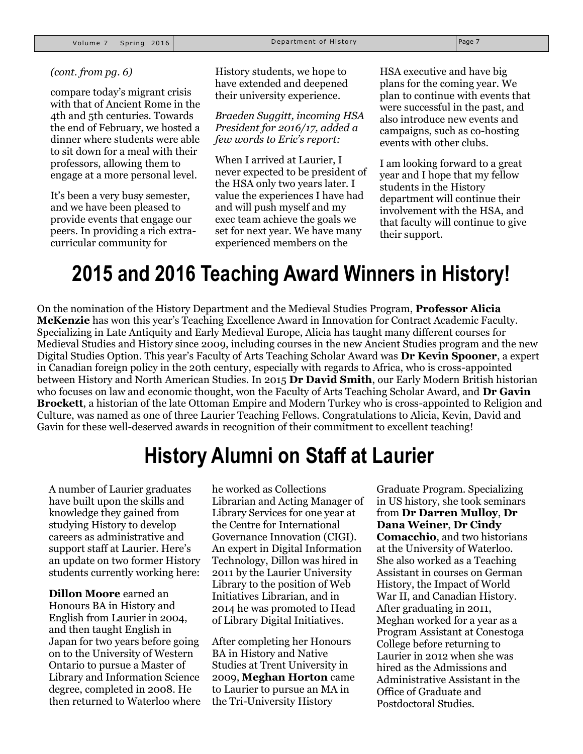#### *(cont. from pg. 6)*

compare today's migrant crisis with that of Ancient Rome in the 4th and 5th centuries. Towards the end of February, we hosted a dinner where students were able to sit down for a meal with their professors, allowing them to engage at a more personal level.

It's been a very busy semester, and we have been pleased to provide events that engage our peers. In providing a rich extracurricular community for

History students, we hope to have extended and deepened their university experience.

#### *Braeden Suggitt, incoming HSA President for 2016/17, added a few words to Eric's report:*

When I arrived at Laurier, I never expected to be president of the HSA only two years later. I value the experiences I have had and will push myself and my exec team achieve the goals we set for next year. We have many experienced members on the

HSA executive and have big plans for the coming year. We plan to continue with events that were successful in the past, and also introduce new events and campaigns, such as co-hosting events with other clubs.

I am looking forward to a great year and I hope that my fellow students in the History department will continue their involvement with the HSA, and that faculty will continue to give their support.

### **2015 and 2016 Teaching Award Winners in History!**

On the nomination of the History Department and the Medieval Studies Program, **Professor Alicia McKenzie** has won this year's Teaching Excellence Award in Innovation for Contract Academic Faculty. Specializing in Late Antiquity and Early Medieval Europe, Alicia has taught many different courses for Medieval Studies and History since 2009, including courses in the new Ancient Studies program and the new Digital Studies Option. This year's Faculty of Arts Teaching Scholar Award was **Dr Kevin Spooner**, a expert in Canadian foreign policy in the 20th century, especially with regards to Africa, who is cross-appointed between History and North American Studies. In 2015 **Dr David Smith**, our Early Modern British historian who focuses on law and economic thought, won the Faculty of Arts Teaching Scholar Award, and **Dr Gavin Brockett**, a historian of the late Ottoman Empire and Modern Turkey who is cross-appointed to Religion and Culture, was named as one of three Laurier Teaching Fellows. Congratulations to Alicia, Kevin, David and Gavin for these well-deserved awards in recognition of their commitment to excellent teaching!

### **History Alumni on Staff at Laurier**

A number of Laurier graduates have built upon the skills and knowledge they gained from studying History to develop careers as administrative and support staff at Laurier. Here's an update on two former History students currently working here:

**Dillon Moore** earned an Honours BA in History and English from Laurier in 2004, and then taught English in Japan for two years before going on to the University of Western Ontario to pursue a Master of Library and Information Science degree, completed in 2008. He then returned to Waterloo where he worked as Collections Librarian and Acting Manager of Library Services for one year at the Centre for International Governance Innovation (CIGI). An expert in Digital Information Technology, Dillon was hired in 2011 by the Laurier University Library to the position of Web Initiatives Librarian, and in 2014 he was promoted to Head of Library Digital Initiatives.

After completing her Honours BA in History and Native Studies at Trent University in 2009, **Meghan Horton** came to Laurier to pursue an MA in the Tri-University History

Graduate Program. Specializing in US history, she took seminars from **Dr Darren Mulloy**, **Dr Dana Weiner**, **Dr Cindy Comacchio**, and two historians at the University of Waterloo. She also worked as a Teaching Assistant in courses on German History, the Impact of World War II, and Canadian History. After graduating in 2011, Meghan worked for a year as a Program Assistant at Conestoga College before returning to Laurier in 2012 when she was hired as the Admissions and Administrative Assistant in the Office of Graduate and Postdoctoral Studies.